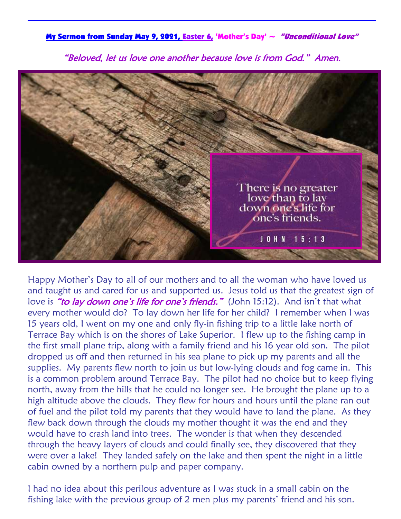My Sermon from Sunday May 9, 2021, Easter 6, 'Mother's Day'  $\sim$  "Unconditional Love"

"Beloved, let us love one another because love is from God." Amen.



Happy Mother's Day to all of our mothers and to all the woman who have loved us and taught us and cared for us and supported us. Jesus told us that the greatest sign of love is "to lay down one's life for one's friends." (John 15:12). And isn't that what every mother would do? To lay down her life for her child? I remember when I was 15 years old, I went on my one and only fly-in fishing trip to a little lake north of Terrace Bay which is on the shores of Lake Superior. I flew up to the fishing camp in the first small plane trip, along with a family friend and his 16 year old son. The pilot dropped us off and then returned in his sea plane to pick up my parents and all the supplies. My parents flew north to join us but low-lying clouds and fog came in. This is a common problem around Terrace Bay. The pilot had no choice but to keep flying north, away from the hills that he could no longer see. He brought the plane up to a high altitude above the clouds. They flew for hours and hours until the plane ran out of fuel and the pilot told my parents that they would have to land the plane. As they flew back down through the clouds my mother thought it was the end and they would have to crash land into trees. The wonder is that when they descended through the heavy layers of clouds and could finally see, they discovered that they were over a lake! They landed safely on the lake and then spent the night in a little cabin owned by a northern pulp and paper company.

I had no idea about this perilous adventure as I was stuck in a small cabin on the fishing lake with the previous group of 2 men plus my parents' friend and his son.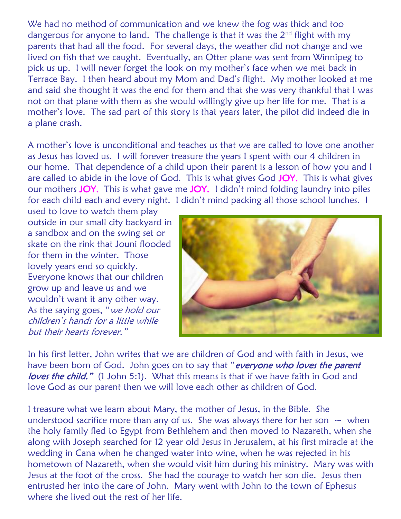We had no method of communication and we knew the fog was thick and too dangerous for anyone to land. The challenge is that it was the 2<sup>nd</sup> flight with my parents that had all the food. For several days, the weather did not change and we lived on fish that we caught. Eventually, an Otter plane was sent from Winnipeg to pick us up. I will never forget the look on my mother's face when we met back in Terrace Bay. I then heard about my Mom and Dad's flight. My mother looked at me and said she thought it was the end for them and that she was very thankful that I was not on that plane with them as she would willingly give up her life for me. That is a mother's love. The sad part of this story is that years later, the pilot did indeed die in a plane crash.

A mother's love is unconditional and teaches us that we are called to love one another as Jesus has loved us. I will forever treasure the years I spent with our 4 children in our home. That dependence of a child upon their parent is a lesson of how you and I are called to abide in the love of God. This is what gives God JOY. This is what gives our mothers JOY. This is what gave me JOY. I didn't mind folding laundry into piles for each child each and every night. I didn't mind packing all those school lunches. I

used to love to watch them play outside in our small city backyard in a sandbox and on the swing set or skate on the rink that Jouni flooded for them in the winter. Those lovely years end so quickly. Everyone knows that our children grow up and leave us and we wouldn't want it any other way. As the saying goes, "we hold our children's hands for a little while but their hearts forever."



In his first letter, John writes that we are children of God and with faith in Jesus, we have been born of God. John goes on to say that "everyone who loves the parent loves the child." (1 John 5:1). What this means is that if we have faith in God and love God as our parent then we will love each other as children of God.

I treasure what we learn about Mary, the mother of Jesus, in the Bible. She understood sacrifice more than any of us. She was always there for her son  $\sim$  when the holy family fled to Egypt from Bethlehem and then moved to Nazareth, when she along with Joseph searched for 12 year old Jesus in Jerusalem, at his first miracle at the wedding in Cana when he changed water into wine, when he was rejected in his hometown of Nazareth, when she would visit him during his ministry. Mary was with Jesus at the foot of the cross. She had the courage to watch her son die. Jesus then entrusted her into the care of John. Mary went with John to the town of Ephesus where she lived out the rest of her life.